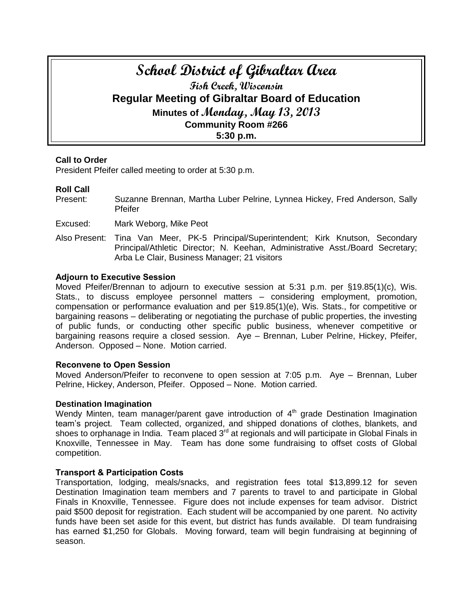# **School District of Gibraltar Area Fish Creek, Wisconsin Regular Meeting of Gibraltar Board of Education Minutes of Monday, May 13, 2013 Community Room #266 5:30 p.m.**

# **Call to Order**

President Pfeifer called meeting to order at 5:30 p.m.

## **Roll Call**

Present: Suzanne Brennan, Martha Luber Pelrine, Lynnea Hickey, Fred Anderson, Sally Pfeifer

Excused: Mark Weborg, Mike Peot

Also Present: Tina Van Meer, PK-5 Principal/Superintendent; Kirk Knutson, Secondary Principal/Athletic Director; N. Keehan, Administrative Asst./Board Secretary; Arba Le Clair, Business Manager; 21 visitors

#### **Adjourn to Executive Session**

Moved Pfeifer/Brennan to adjourn to executive session at 5:31 p.m. per §19.85(1)(c), Wis. Stats., to discuss employee personnel matters – considering employment, promotion, compensation or performance evaluation and per §19.85(1)(e), Wis. Stats., for competitive or bargaining reasons – deliberating or negotiating the purchase of public properties, the investing of public funds, or conducting other specific public business, whenever competitive or bargaining reasons require a closed session. Aye – Brennan, Luber Pelrine, Hickey, Pfeifer, Anderson. Opposed – None. Motion carried.

#### **Reconvene to Open Session**

Moved Anderson/Pfeifer to reconvene to open session at 7:05 p.m. Aye – Brennan, Luber Pelrine, Hickey, Anderson, Pfeifer. Opposed – None. Motion carried.

#### **Destination Imagination**

Wendy Minten, team manager/parent gave introduction of 4<sup>th</sup> grade Destination Imagination team's project. Team collected, organized, and shipped donations of clothes, blankets, and shoes to orphanage in India. Team placed 3<sup>rd</sup> at regionals and will participate in Global Finals in Knoxville, Tennessee in May. Team has done some fundraising to offset costs of Global competition.

#### **Transport & Participation Costs**

Transportation, lodging, meals/snacks, and registration fees total \$13,899.12 for seven Destination Imagination team members and 7 parents to travel to and participate in Global Finals in Knoxville, Tennessee. Figure does not include expenses for team advisor. District paid \$500 deposit for registration. Each student will be accompanied by one parent. No activity funds have been set aside for this event, but district has funds available. DI team fundraising has earned \$1,250 for Globals. Moving forward, team will begin fundraising at beginning of season.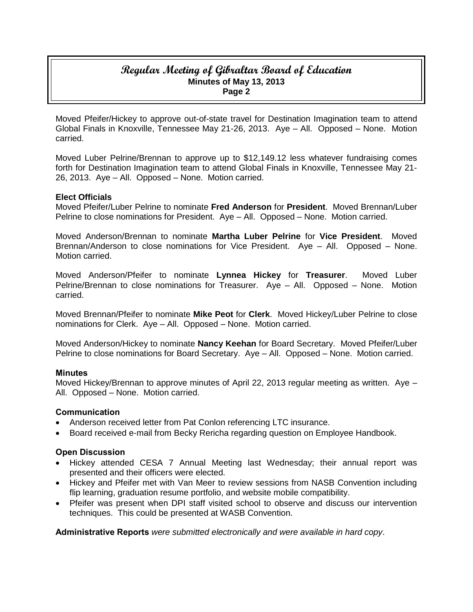Moved Pfeifer/Hickey to approve out-of-state travel for Destination Imagination team to attend Global Finals in Knoxville, Tennessee May 21-26, 2013. Aye – All. Opposed – None. Motion carried.

Moved Luber Pelrine/Brennan to approve up to \$12,149.12 less whatever fundraising comes forth for Destination Imagination team to attend Global Finals in Knoxville, Tennessee May 21- 26, 2013. Aye – All. Opposed – None. Motion carried.

## **Elect Officials**

Moved Pfeifer/Luber Pelrine to nominate **Fred Anderson** for **President**. Moved Brennan/Luber Pelrine to close nominations for President. Aye – All. Opposed – None. Motion carried.

Moved Anderson/Brennan to nominate **Martha Luber Pelrine** for **Vice President**. Moved Brennan/Anderson to close nominations for Vice President. Aye – All. Opposed – None. Motion carried.

Moved Anderson/Pfeifer to nominate **Lynnea Hickey** for **Treasurer**. Moved Luber Pelrine/Brennan to close nominations for Treasurer. Aye – All. Opposed – None. Motion carried.

Moved Brennan/Pfeifer to nominate **Mike Peot** for **Clerk**. Moved Hickey/Luber Pelrine to close nominations for Clerk. Aye – All. Opposed – None. Motion carried.

Moved Anderson/Hickey to nominate **Nancy Keehan** for Board Secretary. Moved Pfeifer/Luber Pelrine to close nominations for Board Secretary. Aye – All. Opposed – None. Motion carried.

#### **Minutes**

Moved Hickey/Brennan to approve minutes of April 22, 2013 regular meeting as written. Aye – All. Opposed – None. Motion carried.

#### **Communication**

- Anderson received letter from Pat Conlon referencing LTC insurance.
- Board received e-mail from Becky Rericha regarding question on Employee Handbook.

# **Open Discussion**

- Hickey attended CESA 7 Annual Meeting last Wednesday; their annual report was presented and their officers were elected.
- Hickey and Pfeifer met with Van Meer to review sessions from NASB Convention including flip learning, graduation resume portfolio, and website mobile compatibility.
- Pfeifer was present when DPI staff visited school to observe and discuss our intervention techniques. This could be presented at WASB Convention.

**Administrative Reports** *were submitted electronically and were available in hard copy*.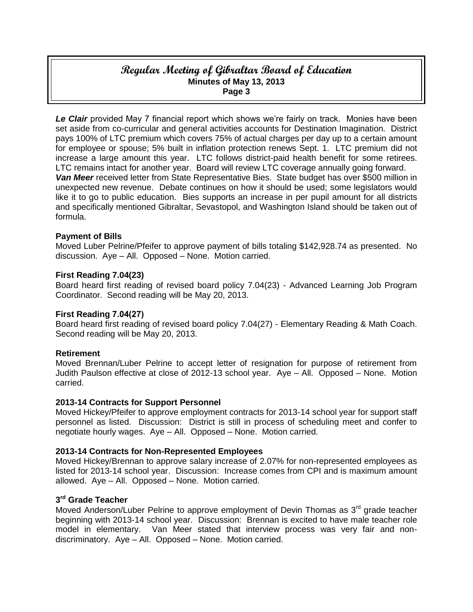Le Clair provided May 7 financial report which shows we're fairly on track. Monies have been set aside from co-curricular and general activities accounts for Destination Imagination. District pays 100% of LTC premium which covers 75% of actual charges per day up to a certain amount for employee or spouse; 5% built in inflation protection renews Sept. 1. LTC premium did not increase a large amount this year. LTC follows district-paid health benefit for some retirees. LTC remains intact for another year. Board will review LTC coverage annually going forward. *Van Meer* received letter from State Representative Bies. State budget has over \$500 million in unexpected new revenue. Debate continues on how it should be used; some legislators would like it to go to public education. Bies supports an increase in per pupil amount for all districts and specifically mentioned Gibraltar, Sevastopol, and Washington Island should be taken out of formula.

# **Payment of Bills**

Moved Luber Pelrine/Pfeifer to approve payment of bills totaling \$142,928.74 as presented. No discussion. Aye – All. Opposed – None. Motion carried.

#### **First Reading 7.04(23)**

Board heard first reading of revised board policy 7.04(23) - Advanced Learning Job Program Coordinator. Second reading will be May 20, 2013.

#### **First Reading 7.04(27)**

Board heard first reading of revised board policy 7.04(27) - Elementary Reading & Math Coach. Second reading will be May 20, 2013.

#### **Retirement**

Moved Brennan/Luber Pelrine to accept letter of resignation for purpose of retirement from Judith Paulson effective at close of 2012-13 school year. Aye – All. Opposed – None. Motion carried.

#### **2013-14 Contracts for Support Personnel**

Moved Hickey/Pfeifer to approve employment contracts for 2013-14 school year for support staff personnel as listed. Discussion: District is still in process of scheduling meet and confer to negotiate hourly wages. Aye – All. Opposed – None. Motion carried.

#### **2013-14 Contracts for Non-Represented Employees**

Moved Hickey/Brennan to approve salary increase of 2.07% for non-represented employees as listed for 2013-14 school year. Discussion: Increase comes from CPI and is maximum amount allowed. Aye – All. Opposed – None. Motion carried.

# **3 rd Grade Teacher**

Moved Anderson/Luber Pelrine to approve employment of Devin Thomas as 3<sup>rd</sup> grade teacher beginning with 2013-14 school year. Discussion: Brennan is excited to have male teacher role model in elementary. Van Meer stated that interview process was very fair and nondiscriminatory. Aye – All. Opposed – None. Motion carried.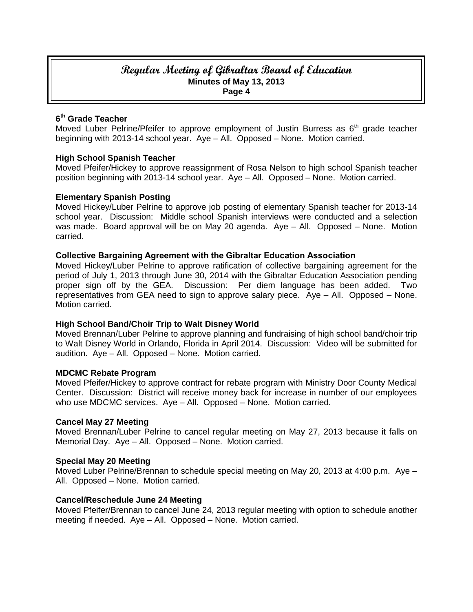# **6 th Grade Teacher**

Moved Luber Pelrine/Pfeifer to approve employment of Justin Burress as 6<sup>th</sup> grade teacher beginning with 2013-14 school year. Aye – All. Opposed – None. Motion carried.

## **High School Spanish Teacher**

Moved Pfeifer/Hickey to approve reassignment of Rosa Nelson to high school Spanish teacher position beginning with 2013-14 school year. Aye – All. Opposed – None. Motion carried.

## **Elementary Spanish Posting**

Moved Hickey/Luber Pelrine to approve job posting of elementary Spanish teacher for 2013-14 school year. Discussion: Middle school Spanish interviews were conducted and a selection was made. Board approval will be on May 20 agenda. Aye – All. Opposed – None. Motion carried.

#### **Collective Bargaining Agreement with the Gibraltar Education Association**

Moved Hickey/Luber Pelrine to approve ratification of collective bargaining agreement for the period of July 1, 2013 through June 30, 2014 with the Gibraltar Education Association pending proper sign off by the GEA. Discussion: Per diem language has been added. Two representatives from GEA need to sign to approve salary piece. Aye – All. Opposed – None. Motion carried.

#### **High School Band/Choir Trip to Walt Disney World**

Moved Brennan/Luber Pelrine to approve planning and fundraising of high school band/choir trip to Walt Disney World in Orlando, Florida in April 2014. Discussion: Video will be submitted for audition. Aye – All. Opposed – None. Motion carried.

#### **MDCMC Rebate Program**

Moved Pfeifer/Hickey to approve contract for rebate program with Ministry Door County Medical Center. Discussion: District will receive money back for increase in number of our employees who use MDCMC services. Aye – All. Opposed – None. Motion carried.

#### **Cancel May 27 Meeting**

Moved Brennan/Luber Pelrine to cancel regular meeting on May 27, 2013 because it falls on Memorial Day. Aye – All. Opposed – None. Motion carried.

#### **Special May 20 Meeting**

Moved Luber Pelrine/Brennan to schedule special meeting on May 20, 2013 at 4:00 p.m. Aye – All. Opposed – None. Motion carried.

#### **Cancel/Reschedule June 24 Meeting**

Moved Pfeifer/Brennan to cancel June 24, 2013 regular meeting with option to schedule another meeting if needed. Aye – All. Opposed – None. Motion carried.